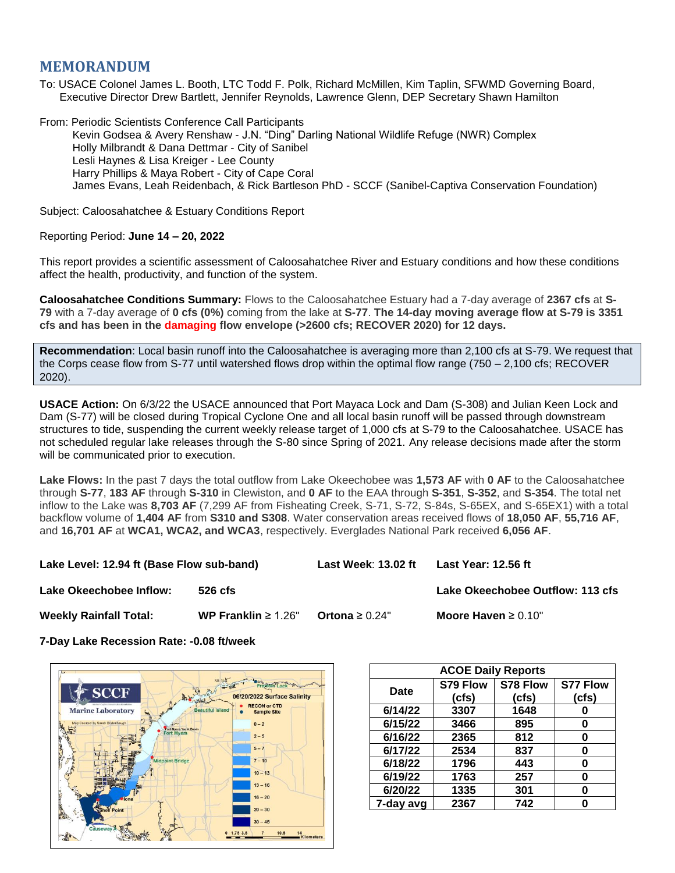## **MEMORANDUM**

To: USACE Colonel James L. Booth, LTC Todd F. Polk, Richard McMillen, Kim Taplin, SFWMD Governing Board, Executive Director Drew Bartlett, Jennifer Reynolds, Lawrence Glenn, DEP Secretary Shawn Hamilton

From: Periodic Scientists Conference Call Participants Kevin Godsea & Avery Renshaw - J.N. "Ding" Darling National Wildlife Refuge (NWR) Complex Holly Milbrandt & Dana Dettmar - City of Sanibel Lesli Haynes & Lisa Kreiger - Lee County Harry Phillips & Maya Robert - City of Cape Coral James Evans, Leah Reidenbach, & Rick Bartleson PhD - SCCF (Sanibel-Captiva Conservation Foundation)

Subject: Caloosahatchee & Estuary Conditions Report

Reporting Period: **June 14 – 20, 2022**

This report provides a scientific assessment of Caloosahatchee River and Estuary conditions and how these conditions affect the health, productivity, and function of the system.

**Caloosahatchee Conditions Summary:** Flows to the Caloosahatchee Estuary had a 7-day average of **2367 cfs** at **S-79** with a 7-day average of **0 cfs (0%)** coming from the lake at **S-77**. **The 14-day moving average flow at S-79 is 3351 cfs and has been in the damaging flow envelope (>2600 cfs; RECOVER 2020) for 12 days.**

**Recommendation**: Local basin runoff into the Caloosahatchee is averaging more than 2,100 cfs at S-79. We request that the Corps cease flow from S-77 until watershed flows drop within the optimal flow range (750 – 2,100 cfs; RECOVER 2020).

**USACE Action:** On 6/3/22 the USACE announced that Port Mayaca Lock and Dam (S-308) and Julian Keen Lock and Dam (S-77) will be closed during Tropical Cyclone One and all local basin runoff will be passed through downstream structures to tide, suspending the current weekly release target of 1,000 cfs at S-79 to the Caloosahatchee. USACE has not scheduled regular lake releases through the S-80 since Spring of 2021. Any release decisions made after the storm will be communicated prior to execution.

**Lake Flows:** In the past 7 days the total outflow from Lake Okeechobee was **1,573 AF** with **0 AF** to the Caloosahatchee through **S-77**, **183 AF** through **S-310** in Clewiston, and **0 AF** to the EAA through **S-351**, **S-352**, and **S-354**. The total net inflow to the Lake was **8,703 AF** (7,299 AF from Fisheating Creek, S-71, S-72, S-84s, S-65EX, and S-65EX1) with a total backflow volume of **1,404 AF** from **S310 and S308**. Water conservation areas received flows of **18,050 AF**, **55,716 AF**, and **16,701 AF** at **WCA1, WCA2, and WCA3**, respectively. Everglades National Park received **6,056 AF**.

**Lake Level: 12.94 ft (Base Flow sub-band) Last Week**: **13.02 ft Last Year: 12.56 ft**

**Lake Okeechobee Inflow: 526 cfs Lake Okeechobee Outflow: 113 cfs**

**Weekly Rainfall Total: WP Franklin** ≥ 1.26" **Ortona** ≥ 0.24" **Moore Haven** ≥ 0.10"

**7-Day Lake Recession Rate: -0.08 ft/week**



| <b>ACOE Daily Reports</b> |          |          |                 |  |  |  |
|---------------------------|----------|----------|-----------------|--|--|--|
| <b>Date</b>               | S79 Flow | S78 Flow | <b>S77 Flow</b> |  |  |  |
|                           | (cfs)    | (cfs)    | (cfs)           |  |  |  |
| 6/14/22                   | 3307     | 1648     |                 |  |  |  |
| 6/15/22                   | 3466     | 895      | 0               |  |  |  |
| 6/16/22                   | 2365     | 812      | 0               |  |  |  |
| 6/17/22                   | 2534     | 837      | ŋ               |  |  |  |
| 6/18/22                   | 1796     | 443      | O               |  |  |  |
| 6/19/22                   | 1763     | 257      | ŋ               |  |  |  |
| 6/20/22                   | 1335     | 301      | O               |  |  |  |
| 7-day avg                 | 2367     | 742      |                 |  |  |  |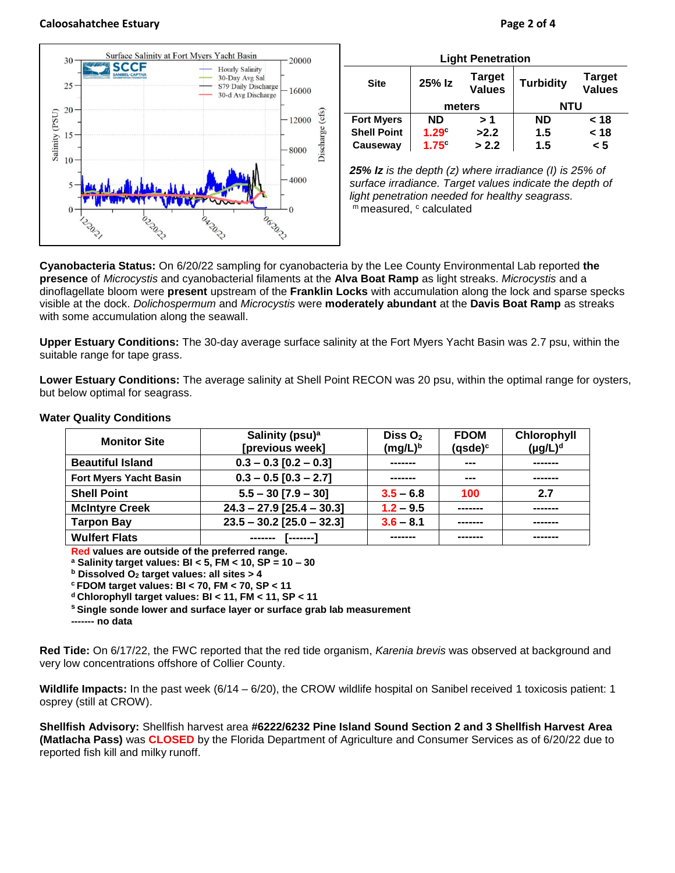



| <b>Light Penetration</b> |                   |                                |                  |                                |  |  |  |
|--------------------------|-------------------|--------------------------------|------------------|--------------------------------|--|--|--|
| <b>Site</b>              | 25% Iz            | <b>Target</b><br><b>Values</b> | <b>Turbidity</b> | <b>Target</b><br><b>Values</b> |  |  |  |
|                          | meters            |                                | <b>NTU</b>       |                                |  |  |  |
| <b>Fort Myers</b>        | ND                | > 1                            | <b>ND</b>        | < 18                           |  |  |  |
| <b>Shell Point</b>       | 1.29 <sup>°</sup> | >2.2                           | 1.5              | < 18                           |  |  |  |
| Causeway                 | $1.75^\circ$      | > 2.2                          | 1.5              | < 5                            |  |  |  |

*25% Iz is the depth (z) where irradiance (I) is 25% of surface irradiance. Target values indicate the depth of light penetration needed for healthy seagrass.* m measured, c calculated

**Cyanobacteria Status:** On 6/20/22 sampling for cyanobacteria by the Lee County Environmental Lab reported **the presence** of *Microcystis* and cyanobacterial filaments at the **Alva Boat Ramp** as light streaks. *Microcystis* and a dinoflagellate bloom were **present** upstream of the **Franklin Locks** with accumulation along the lock and sparse specks visible at the dock. *Dolichospermum* and *Microcystis* were **moderately abundant** at the **Davis Boat Ramp** as streaks with some accumulation along the seawall.

**Upper Estuary Conditions:** The 30-day average surface salinity at the Fort Myers Yacht Basin was 2.7 psu, within the suitable range for tape grass.

**Lower Estuary Conditions:** The average salinity at Shell Point RECON was 20 psu, within the optimal range for oysters, but below optimal for seagrass.

| <b>Monitor Site</b>           | Salinity (psu) <sup>a</sup><br>[previous week] | Diss $O2$<br><b>FDOM</b><br>$(mg/L)^b$<br>$(gsde)^c$ |     | Chlorophyll<br>(µg/L) <sup>d</sup> |
|-------------------------------|------------------------------------------------|------------------------------------------------------|-----|------------------------------------|
| <b>Beautiful Island</b>       | $0.3 - 0.3$ [0.2 - 0.3]                        | ---<br>-------                                       |     | -------                            |
| <b>Fort Myers Yacht Basin</b> | $0.3 - 0.5$ [0.3 - 2.7]                        |                                                      | --- |                                    |
| <b>Shell Point</b>            | $5.5 - 30$ [7.9 - 30]                          | $3.5 - 6.8$                                          | 100 | 2.7                                |
| <b>McIntyre Creek</b>         | $24.3 - 27.9$ [25.4 - 30.3]                    | $1.2 - 9.5$                                          |     | -------                            |
| <b>Tarpon Bay</b>             | $23.5 - 30.2$ [25.0 - 32.3]                    | $3.6 - 8.1$                                          |     | -------                            |
| <b>Wulfert Flats</b>          | -------                                        |                                                      |     |                                    |

## **Water Quality Conditions**

**Red values are outside of the preferred range.**

**<sup>a</sup> Salinity target values: BI < 5, FM < 10, SP = 10 – 30**

**<sup>b</sup> Dissolved O<sup>2</sup> target values: all sites > 4**

**<sup>c</sup> FDOM target values: BI < 70, FM < 70, SP < 11**

**<sup>d</sup> Chlorophyll target values: BI < 11, FM < 11, SP < 11** 

**<sup>s</sup> Single sonde lower and surface layer or surface grab lab measurement**

**------- no data**

**Red Tide:** On 6/17/22, the FWC reported that the red tide organism, *Karenia brevis* was observed at background and very low concentrations offshore of Collier County.

**Wildlife Impacts:** In the past week (6/14 – 6/20), the CROW wildlife hospital on Sanibel received 1 toxicosis patient: 1 osprey (still at CROW).

**Shellfish Advisory:** Shellfish harvest area **#6222/6232 Pine Island Sound Section 2 and 3 Shellfish Harvest Area (Matlacha Pass)** was **CLOSED** by the Florida Department of Agriculture and Consumer Services as of 6/20/22 due to reported fish kill and milky runoff.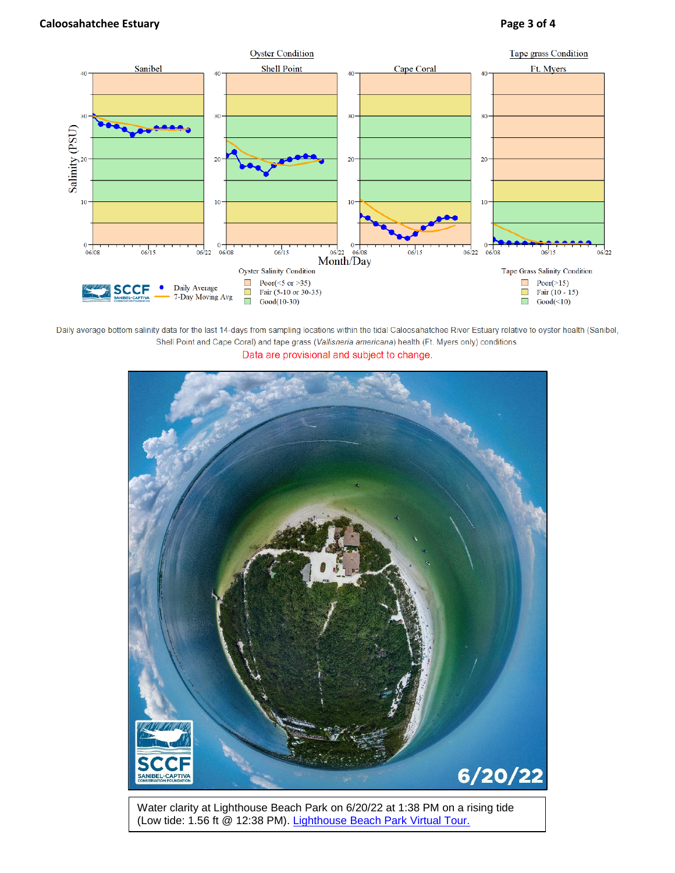

Daily average bottom salinity data for the last 14-days from sampling locations within the tidal Caloosahatchee River Estuary relative to oyster health (Sanibel, Shell Point and Cape Coral) and tape grass (Vallisneria americana) health (Ft. Myers only) conditions. Data are provisional and subject to change.



Water clarity at Lighthouse Beach Park on 6/20/22 at 1:38 PM on a rising tide (Low tide: 1.56 ft @ 12:38 PM). [Lighthouse Beach Park Virtual Tour.](https://aerialwq.sccf.org/lighthouse/virtualtour/)